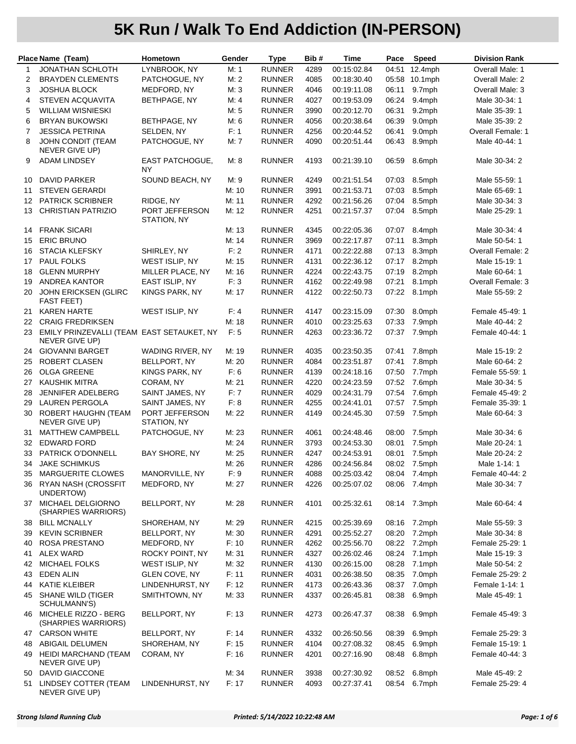|                | Place Name (Team)                                           | Hometown                            | Gender | <b>Type</b>   | Bib# | Time        | Pace  | Speed         | <b>Division Rank</b> |
|----------------|-------------------------------------------------------------|-------------------------------------|--------|---------------|------|-------------|-------|---------------|----------------------|
| 1              | <b>JONATHAN SCHLOTH</b>                                     | LYNBROOK, NY                        | M: 1   | <b>RUNNER</b> | 4289 | 00:15:02.84 | 04:51 | 12.4mph       | Overall Male: 1      |
| 2              | <b>BRAYDEN CLEMENTS</b>                                     | PATCHOGUE, NY                       | M: 2   | <b>RUNNER</b> | 4085 | 00:18:30.40 |       | 05:58 10.1mph | Overall Male: 2      |
| 3              | <b>JOSHUA BLOCK</b>                                         | MEDFORD, NY                         | M: 3   | <b>RUNNER</b> | 4046 | 00:19:11.08 | 06:11 | 9.7mph        | Overall Male: 3      |
| 4              | <b>STEVEN ACQUAVITA</b>                                     | BETHPAGE, NY                        | M: 4   | <b>RUNNER</b> | 4027 | 00:19:53.09 | 06:24 | 9.4mph        | Male 30-34: 1        |
| 5              | <b>WILLIAM WISNIESKI</b>                                    |                                     | M: 5   | <b>RUNNER</b> | 3990 | 00:20:12.70 | 06:31 | 9.2mph        | Male 35-39: 1        |
| 6              | <b>BRYAN BUKOWSKI</b>                                       | BETHPAGE, NY                        | M: 6   | <b>RUNNER</b> | 4056 | 00:20:38.64 | 06:39 | 9.0mph        | Male 35-39: 2        |
| $\overline{7}$ | <b>JESSICA PETRINA</b>                                      | SELDEN, NY                          | F: 1   | <b>RUNNER</b> | 4256 | 00:20:44.52 | 06:41 | 9.0mph        | Overall Female: 1    |
| 8              | <b>JOHN CONDIT (TEAM</b>                                    | PATCHOGUE, NY                       | M: 7   | <b>RUNNER</b> | 4090 | 00:20:51.44 | 06:43 | 8.9mph        | Male 40-44: 1        |
|                | NEVER GIVE UP)                                              |                                     |        |               |      |             |       |               |                      |
| 9              | <b>ADAM LINDSEY</b>                                         | <b>EAST PATCHOGUE,</b><br><b>NY</b> | M: 8   | <b>RUNNER</b> | 4193 | 00:21:39.10 | 06:59 | 8.6mph        | Male 30-34: 2        |
| 10             | <b>DAVID PARKER</b>                                         | SOUND BEACH, NY                     | M: 9   | <b>RUNNER</b> | 4249 | 00:21:51.54 | 07:03 | 8.5mph        | Male 55-59: 1        |
| 11             | <b>STEVEN GERARDI</b>                                       |                                     | M: 10  | <b>RUNNER</b> | 3991 | 00:21:53.71 | 07:03 | 8.5mph        | Male 65-69: 1        |
| 12             | <b>PATRICK SCRIBNER</b>                                     | RIDGE, NY                           | M: 11  | <b>RUNNER</b> | 4292 | 00:21:56.26 | 07:04 | 8.5mph        | Male 30-34: 3        |
| 13             | <b>CHRISTIAN PATRIZIO</b>                                   | PORT JEFFERSON<br>STATION, NY       | M: 12  | <b>RUNNER</b> | 4251 | 00:21:57.37 | 07:04 | 8.5mph        | Male 25-29: 1        |
| 14             | <b>FRANK SICARI</b>                                         |                                     | M: 13  | <b>RUNNER</b> | 4345 | 00:22:05.36 | 07:07 | 8.4mph        | Male 30-34: 4        |
| 15             | <b>ERIC BRUNO</b>                                           |                                     | M: 14  | <b>RUNNER</b> | 3969 | 00:22:17.87 | 07:11 | 8.3mph        | Male 50-54: 1        |
| 16             | <b>STACIA KLEFSKY</b>                                       | SHIRLEY, NY                         | F: 2   | <b>RUNNER</b> | 4171 | 00:22:22.88 | 07:13 | 8.3mph        | Overall Female: 2    |
| 17             | PAUL FOLKS                                                  | WEST ISLIP, NY                      | M: 15  | <b>RUNNER</b> | 4131 | 00:22:36.12 | 07:17 | 8.2mph        | Male 15-19: 1        |
| 18             | <b>GLENN MURPHY</b>                                         | MILLER PLACE, NY                    | M: 16  | <b>RUNNER</b> | 4224 | 00:22:43.75 | 07:19 | 8.2mph        | Male 60-64: 1        |
| 19             | <b>ANDREA KANTOR</b>                                        | EAST ISLIP, NY                      | F: 3   | <b>RUNNER</b> | 4162 | 00:22:49.98 | 07:21 | 8.1mph        | Overall Female: 3    |
| 20             | <b>JOHN ERICKSEN (GLIRC</b>                                 | KINGS PARK, NY                      | M: 17  | <b>RUNNER</b> | 4122 | 00:22:50.73 | 07:22 | 8.1mph        | Male 55-59: 2        |
|                | <b>FAST FEET)</b>                                           |                                     |        |               |      |             |       |               |                      |
| 21             | <b>KAREN HARTE</b>                                          | WEST ISLIP, NY                      | F: 4   | <b>RUNNER</b> | 4147 | 00:23:15.09 | 07:30 | 8.0mph        | Female 45-49: 1      |
| 22             | <b>CRAIG FREDRIKSEN</b>                                     |                                     | M: 18  | <b>RUNNER</b> | 4010 | 00:23:25.63 | 07:33 | 7.9mph        | Male 40-44: 2        |
| 23             | EMILY PRINZEVALLI (TEAM EAST SETAUKET, NY<br>NEVER GIVE UP) |                                     | F: 5   | <b>RUNNER</b> | 4263 | 00:23:36.72 | 07:37 | 7.9mph        | Female 40-44: 1      |
| 24             | <b>GIOVANNI BARGET</b>                                      | WADING RIVER, NY                    | M: 19  | <b>RUNNER</b> | 4035 | 00:23:50.35 | 07:41 | 7.8mph        | Male 15-19: 2        |
| 25             | ROBERT CLASEN                                               | BELLPORT, NY                        | M: 20  | <b>RUNNER</b> | 4084 | 00:23:51.87 | 07:41 | 7.8mph        | Male 60-64: 2        |
| 26             | <b>OLGA GREENE</b>                                          | KINGS PARK, NY                      | F: 6   | <b>RUNNER</b> | 4139 | 00:24:18.16 | 07:50 | 7.7mph        | Female 55-59: 1      |
| 27             | <b>KAUSHIK MITRA</b>                                        | CORAM, NY                           | M: 21  | <b>RUNNER</b> | 4220 | 00:24:23.59 | 07:52 | 7.6mph        | Male 30-34: 5        |
| 28             | JENNIFER ADELBERG                                           | SAINT JAMES, NY                     | F:7    | <b>RUNNER</b> | 4029 | 00:24:31.79 | 07:54 | 7.6mph        | Female 45-49: 2      |
| 29             | <b>LAUREN PERGOLA</b>                                       | SAINT JAMES, NY                     | F: 8   | <b>RUNNER</b> | 4255 | 00:24:41.01 | 07:57 | 7.5mph        | Female 35-39: 1      |
| 30             | ROBERT HAUGHN (TEAM<br>NEVER GIVE UP)                       | PORT JEFFERSON<br>STATION, NY       | M: 22  | <b>RUNNER</b> | 4149 | 00:24:45.30 | 07:59 | 7.5mph        | Male 60-64: 3        |
| 31             | <b>MATTHEW CAMPBELL</b>                                     | PATCHOGUE, NY                       | M: 23  | <b>RUNNER</b> | 4061 | 00:24:48.46 | 08:00 | 7.5mph        | Male 30-34: 6        |
| 32             | <b>EDWARD FORD</b>                                          |                                     | M: 24  | <b>RUNNER</b> | 3793 | 00:24:53.30 | 08:01 | 7.5mph        | Male 20-24: 1        |
| 33             | PATRICK O'DONNELL                                           | BAY SHORE, NY                       | M: 25  | <b>RUNNER</b> | 4247 | 00:24:53.91 | 08:01 | 7.5mph        | Male 20-24: 2        |
| 34             | <b>JAKE SCHIMKUS</b>                                        |                                     | M: 26  | <b>RUNNER</b> | 4286 | 00:24:56.84 | 08:02 | 7.5mph        | Male 1-14: 1         |
| 35             | <b>MARGUERITE CLOWES</b>                                    | MANORVILLE, NY                      | F: 9   | <b>RUNNER</b> | 4088 | 00:25:03.42 | 08:04 | 7.4mph        | Female 40-44: 2      |
|                | 36 RYAN NASH (CROSSFIT                                      | MEDFORD, NY                         | M: 27  | <b>RUNNER</b> | 4226 | 00:25:07.02 | 08:06 | 7.4mph        | Male 30-34: 7        |
|                | UNDERTOW)<br>MICHAEL DELGIORNO                              | BELLPORT, NY                        | M: 28  | <b>RUNNER</b> | 4101 | 00:25:32.61 |       | 08:14 7.3mph  | Male 60-64: 4        |
| 37             | (SHARPIES WARRIORS)                                         |                                     |        |               |      |             |       |               |                      |
| 38             | <b>BILL MCNALLY</b>                                         | SHOREHAM, NY                        | M: 29  | <b>RUNNER</b> | 4215 | 00:25:39.69 |       | 08:16 7.2mph  | Male 55-59: 3        |
| 39             | <b>KEVIN SCRIBNER</b>                                       | BELLPORT, NY                        | M: 30  | <b>RUNNER</b> | 4291 | 00:25:52.27 | 08:20 | 7.2mph        | Male 30-34: 8        |
| 40             | ROSA PRESTANO                                               | MEDFORD, NY                         | F: 10  | <b>RUNNER</b> | 4262 | 00:25:56.70 | 08:22 | 7.2mph        | Female 25-29: 1      |
| 41             | <b>ALEX WARD</b>                                            | ROCKY POINT, NY                     | M: 31  | <b>RUNNER</b> | 4327 | 00:26:02.46 | 08:24 | 7.1mph        | Male 15-19: 3        |
| 42             | <b>MICHAEL FOLKS</b>                                        | WEST ISLIP, NY                      | M: 32  | <b>RUNNER</b> | 4130 | 00:26:15.00 | 08:28 | 7.1mph        | Male 50-54: 2        |
| 43             | <b>EDEN ALIN</b>                                            | <b>GLEN COVE, NY</b>                | F: 11  | <b>RUNNER</b> | 4031 | 00:26:38.50 | 08:35 | 7.0mph        | Female 25-29: 2      |
| 44             | KATIE KLEIBER                                               | LINDENHURST, NY                     | F: 12  | <b>RUNNER</b> | 4173 | 00:26:43.36 | 08:37 | 7.0mph        | Female 1-14: 1       |
| 45             | SHANE WILD (TIGER<br>SCHULMANN'S)                           | SMITHTOWN, NY                       | M: 33  | <b>RUNNER</b> | 4337 | 00:26:45.81 | 08:38 | 6.9mph        | Male 45-49: 1        |
|                | 46 MICHELE RIZZO - BERG<br>(SHARPIES WARRIORS)              | BELLPORT, NY                        | F: 13  | <b>RUNNER</b> | 4273 | 00:26:47.37 | 08:38 | 6.9mph        | Female 45-49: 3      |
| 47             | <b>CARSON WHITE</b>                                         | BELLPORT, NY                        | F: 14  | <b>RUNNER</b> | 4332 | 00:26:50.56 | 08:39 | 6.9mph        | Female 25-29: 3      |
| 48             | ABIGAIL DELUMEN                                             | SHOREHAM, NY                        | F: 15  | <b>RUNNER</b> | 4104 | 00:27:08.32 | 08:45 | 6.9mph        | Female 15-19: 1      |
|                | 49 HEIDI MARCHAND (TEAM<br>NEVER GIVE UP)                   | CORAM, NY                           | F: 16  | <b>RUNNER</b> | 4201 | 00:27:16.90 | 08:48 | 6.8mph        | Female 40-44: 3      |
| 50             | DAVID GIACCONE                                              |                                     | M: 34  | <b>RUNNER</b> | 3938 | 00:27:30.92 | 08:52 | 6.8mph        | Male 45-49: 2        |
| 51             | LINDSEY COTTER (TEAM<br>NEVER GIVE UP)                      | LINDENHURST, NY                     | F: 17  | <b>RUNNER</b> | 4093 | 00:27:37.41 | 08:54 | 6.7mph        | Female 25-29: 4      |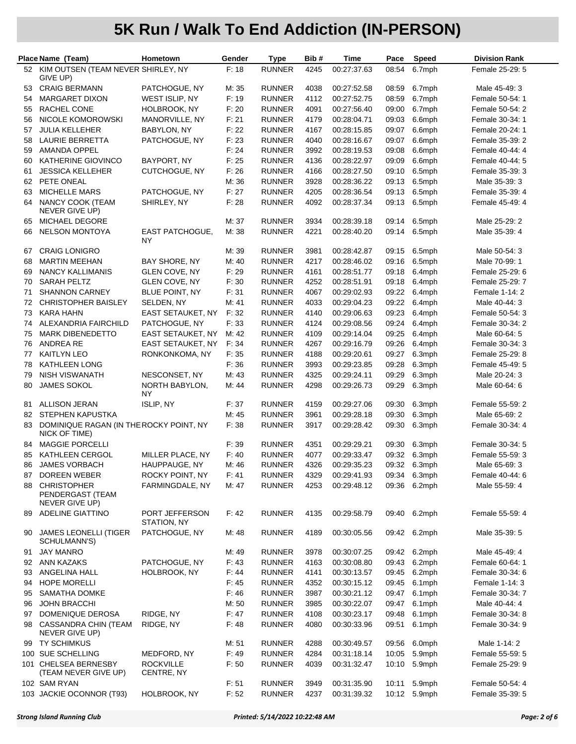|          | Place Name (Team)                                        | Hometown                       | Gender         | <b>Type</b>                    | Bib#         | Time                       | Pace           | <b>Speed</b>     | <b>Division Rank</b>               |
|----------|----------------------------------------------------------|--------------------------------|----------------|--------------------------------|--------------|----------------------------|----------------|------------------|------------------------------------|
|          | 52 KIM OUTSEN (TEAM NEVER SHIRLEY, NY                    |                                | F: 18          | <b>RUNNER</b>                  | 4245         | 00:27:37.63                | 08:54          | 6.7mph           | Female 25-29: 5                    |
|          | GIVE UP)                                                 |                                |                |                                |              |                            |                |                  |                                    |
| 53       | <b>CRAIG BERMANN</b>                                     | PATCHOGUE, NY                  | M: 35          | <b>RUNNER</b>                  | 4038         | 00:27:52.58                | 08:59          | 6.7mph           | Male 45-49: 3                      |
| 54       | <b>MARGARET DIXON</b>                                    | WEST ISLIP, NY                 | F: 19          | <b>RUNNER</b>                  | 4112         | 00:27:52.75                | 08:59          | 6.7mph           | Female 50-54: 1                    |
| 55       | RACHEL CONE                                              | HOLBROOK, NY                   | F: 20          | <b>RUNNER</b>                  | 4091         | 00:27:56.40                | 09:00          | 6.7mph           | Female 50-54: 2                    |
| 56       | NICOLE KOMOROWSKI                                        | MANORVILLE, NY                 | F: 21          | <b>RUNNER</b>                  | 4179         | 00:28:04.71                | 09:03          | 6.6mph           | Female 30-34: 1                    |
| 57       | <b>JULIA KELLEHER</b>                                    | <b>BABYLON, NY</b>             | F: 22          | <b>RUNNER</b>                  | 4167         | 00:28:15.85                | 09:07          | 6.6mph           | Female 20-24: 1                    |
| 58       | <b>LAURIE BERRETTA</b><br>AMANDA OPPEL                   | PATCHOGUE, NY                  | F: 23<br>F: 24 | <b>RUNNER</b><br><b>RUNNER</b> | 4040<br>3992 | 00:28:16.67<br>00:28:19.53 | 09:07<br>09:08 | 6.6mph<br>6.6mph | Female 35-39: 2<br>Female 40-44: 4 |
| 59<br>60 | KATHERINE GIOVINCO                                       | BAYPORT, NY                    | F: 25          | <b>RUNNER</b>                  | 4136         | 00:28:22.97                | 09:09          | 6.6mph           | Female 40-44: 5                    |
| 61       | <b>JESSICA KELLEHER</b>                                  | CUTCHOGUE, NY                  | F: 26          | <b>RUNNER</b>                  | 4166         | 00:28:27.50                | 09:10          | 6.5mph           | Female 35-39: 3                    |
| 62       | PETE ONEAL                                               |                                | M: 36          | <b>RUNNER</b>                  | 3928         | 00:28:36.22                | 09:13          | 6.5mph           | Male 35-39: 3                      |
| 63       | <b>MICHELLE MARS</b>                                     | PATCHOGUE, NY                  | F: 27          | <b>RUNNER</b>                  | 4205         | 00:28:36.54                | 09:13          | 6.5mph           | Female 35-39: 4                    |
| 64       | NANCY COOK (TEAM                                         | SHIRLEY, NY                    | F: 28          | <b>RUNNER</b>                  | 4092         | 00:28:37.34                | 09:13          | 6.5mph           | Female 45-49: 4                    |
|          | NEVER GIVE UP)                                           |                                |                |                                |              |                            |                |                  |                                    |
| 65       | <b>MICHAEL DEGORE</b>                                    |                                | M: 37          | <b>RUNNER</b>                  | 3934         | 00:28:39.18                | 09:14          | 6.5mph           | Male 25-29: 2                      |
| 66       | <b>NELSON MONTOYA</b>                                    | <b>EAST PATCHOGUE,</b><br>NY   | M: 38          | <b>RUNNER</b>                  | 4221         | 00:28:40.20                | 09:14          | 6.5mph           | Male 35-39: 4                      |
| 67       | <b>CRAIG LONIGRO</b>                                     |                                | M: 39          | <b>RUNNER</b>                  | 3981         | 00:28:42.87                | 09:15          | 6.5mph           | Male 50-54: 3                      |
| 68       | <b>MARTIN MEEHAN</b>                                     | BAY SHORE, NY                  | M: 40          | <b>RUNNER</b>                  | 4217         | 00:28:46.02                | 09:16          | 6.5mph           | Male 70-99: 1                      |
| 69       | <b>NANCY KALLIMANIS</b>                                  | <b>GLEN COVE, NY</b>           | F: 29          | <b>RUNNER</b>                  | 4161         | 00:28:51.77                | 09:18          | 6.4mph           | Female 25-29: 6                    |
| 70       | SARAH PELTZ                                              | GLEN COVE, NY                  | F: 30          | <b>RUNNER</b>                  | 4252         | 00:28:51.91                | 09:18          | 6.4mph           | Female 25-29: 7                    |
| 71       | <b>SHANNON CARNEY</b>                                    | BLUE POINT, NY                 | F: 31          | <b>RUNNER</b>                  | 4067         | 00:29:02.93                | 09:22          | 6.4mph           | Female 1-14: 2                     |
| 72       | <b>CHRISTOPHER BAISLEY</b>                               | SELDEN, NY                     | M: 41          | <b>RUNNER</b>                  | 4033         | 00:29:04.23                | 09:22          | 6.4mph           | Male 40-44: 3                      |
| 73       | <b>KARA HAHN</b>                                         | <b>EAST SETAUKET, NY</b>       | F: 32          | <b>RUNNER</b>                  | 4140         | 00:29:06.63                | 09:23          | 6.4mph           | Female 50-54: 3                    |
| 74       | ALEXANDRIA FAIRCHILD                                     | PATCHOGUE, NY                  | F: 33          | <b>RUNNER</b>                  | 4124         | 00:29:08.56                | 09:24          | 6.4mph           | Female 30-34: 2                    |
| 75       | <b>MARK DIBENEDETTO</b>                                  | EAST SETAUKET, NY              | M: 42          | <b>RUNNER</b>                  | 4109         | 00:29:14.04                | 09:25          | 6.4mph           | Male 60-64: 5                      |
| 76       | <b>ANDREA RE</b>                                         | EAST SETAUKET, NY              | F: 34          | <b>RUNNER</b>                  | 4267         | 00:29:16.79                | 09:26          | 6.4mph           | Female 30-34: 3                    |
| 77       | <b>KAITLYN LEO</b>                                       | RONKONKOMA, NY                 | F: 35          | <b>RUNNER</b>                  | 4188         | 00:29:20.61                | 09:27          | 6.3mph           | Female 25-29: 8                    |
| 78       | <b>KATHLEEN LONG</b>                                     |                                | F: 36          | <b>RUNNER</b>                  | 3993         | 00:29:23.85                | 09:28          | 6.3mph           | Female 45-49: 5                    |
| 79       | <b>NISH VISWANATH</b>                                    | NESCONSET, NY                  | M: 43          | <b>RUNNER</b>                  | 4325         | 00:29:24.11                | 09:29          | 6.3mph           | Male 20-24: 3                      |
| 80       | JAMES SOKOL                                              | NORTH BABYLON,<br>ΝY           | M: 44          | <b>RUNNER</b>                  | 4298         | 00:29:26.73                | 09:29          | 6.3mph           | Male 60-64: 6                      |
| 81       | ALLISON JERAN                                            | ISLIP, NY                      | F: 37          | <b>RUNNER</b>                  | 4159         | 00:29:27.06                | 09:30          | 6.3mph           | Female 55-59: 2                    |
| 82       | STEPHEN KAPUSTKA                                         |                                | M: 45          | <b>RUNNER</b>                  | 3961         | 00:29:28.18                | 09:30          | 6.3mph           | Male 65-69: 2                      |
| 83       | DOMINIQUE RAGAN (IN THE ROCKY POINT, NY<br>NICK OF TIME) |                                | F: 38          | <b>RUNNER</b>                  | 3917         | 00:29:28.42                | 09:30          | 6.3mph           | Female 30-34: 4                    |
| 84       | <b>MAGGIE PORCELLI</b>                                   |                                | F: 39          | <b>RUNNER</b>                  | 4351         | 00:29:29.21                | 09:30          | 6.3mph           | Female 30-34: 5                    |
| 85       | KATHLEEN CERGOL                                          | MILLER PLACE, NY               | F: 40          | <b>RUNNER</b>                  | 4077         | 00:29:33.47                | 09:32          | 6.3mph           | Female 55-59: 3                    |
| 86       | <b>JAMES VORBACH</b>                                     | HAUPPAUGE, NY                  | M: 46          | <b>RUNNER</b>                  | 4326         | 00:29:35.23                | 09:32          | 6.3mph           | Male 65-69: 3                      |
| 87       | DOREEN WEBER                                             | ROCKY POINT, NY                | F: 41          | <b>RUNNER</b>                  | 4329         | 00:29:41.93                | 09:34          | 6.3mph           | Female 40-44: 6                    |
| 88       | <b>CHRISTOPHER</b>                                       | FARMINGDALE, NY                | M: 47          | <b>RUNNER</b>                  | 4253         | 00:29:48.12                | 09:36          | 6.2mph           | Male 55-59: 4                      |
|          | PENDERGAST (TEAM<br>NEVER GIVE UP)                       |                                |                |                                |              |                            |                |                  |                                    |
|          | 89 ADELINE GIATTINO                                      | PORT JEFFERSON                 | F: 42          | <b>RUNNER</b>                  | 4135         | 00:29:58.79                | 09:40          | 6.2mph           | Female 55-59: 4                    |
| 90       | <b>JAMES LEONELLI (TIGER</b>                             | STATION, NY<br>PATCHOGUE, NY   | M: 48          | <b>RUNNER</b>                  | 4189         | 00:30:05.56                |                | 09:42 6.2mph     | Male 35-39: 5                      |
|          | SCHULMANN'S)                                             |                                |                |                                |              |                            |                |                  |                                    |
| 91       | <b>JAY MANRO</b>                                         |                                | M: 49          | <b>RUNNER</b>                  | 3978         | 00:30:07.25                |                | 09:42 6.2mph     | Male 45-49: 4                      |
|          | 92 ANN KAZAKS                                            | PATCHOGUE, NY                  | F: 43          | <b>RUNNER</b>                  | 4163         | 00:30:08.80                | 09:43          | 6.2mph           | Female 60-64: 1                    |
| 93       | ANGELINA HALL                                            | HOLBROOK, NY                   | F: 44          | <b>RUNNER</b>                  | 4141         | 00:30:13.57                | 09:45          | 6.2mph           | Female 30-34: 6                    |
| 94       | <b>HOPE MORELLI</b>                                      |                                | F: 45          | <b>RUNNER</b>                  | 4352         | 00:30:15.12                | 09:45          | 6.1mph           | Female 1-14: 3                     |
| 95       | <b>SAMATHA DOMKE</b>                                     |                                | F: 46          | <b>RUNNER</b>                  | 3987         | 00:30:21.12                | 09:47          | 6.1mph           | Female 30-34: 7                    |
| 96       | <b>JOHN BRACCHI</b>                                      |                                | M:50           | <b>RUNNER</b>                  | 3985         | 00:30:22.07                | 09:47          | 6.1mph           | Male 40-44: 4                      |
| 97       | DOMENIQUE DEROSA                                         | RIDGE, NY                      | F: 47          | <b>RUNNER</b>                  | 4108         | 00:30:23.17                | 09:48          | 6.1mph           | Female 30-34: 8                    |
|          | 98 CASSANDRA CHIN (TEAM<br>NEVER GIVE UP)                | RIDGE, NY                      | F: 48          | <b>RUNNER</b>                  | 4080         | 00:30:33.96                | 09:51          | 6.1mph           | Female 30-34: 9                    |
| 99       | <b>TY SCHIMKUS</b>                                       |                                | M: 51          | <b>RUNNER</b>                  | 4288         | 00:30:49.57                | 09:56          | 6.0mph           | Male 1-14: 2                       |
|          | 100 SUE SCHELLING                                        | MEDFORD, NY                    | F: 49          | <b>RUNNER</b>                  | 4284         | 00:31:18.14                | 10:05          | 5.9mph           | Female 55-59: 5                    |
|          | 101 CHELSEA BERNESBY<br>(TEAM NEVER GIVE UP)             | <b>ROCKVILLE</b><br>CENTRE, NY | F: 50          | <b>RUNNER</b>                  | 4039         | 00:31:32.47                | 10:10          | 5.9mph           | Female 25-29: 9                    |
|          | 102 SAM RYAN                                             |                                | F: 51          | <b>RUNNER</b>                  | 3949         | 00:31:35.90                | 10:11          | 5.9mph           | Female 50-54: 4                    |
|          | 103 JACKIE OCONNOR (T93)                                 | HOLBROOK, NY                   | F: 52          | <b>RUNNER</b>                  | 4237         | 00:31:39.32                | 10:12          | 5.9mph           | Female 35-39: 5                    |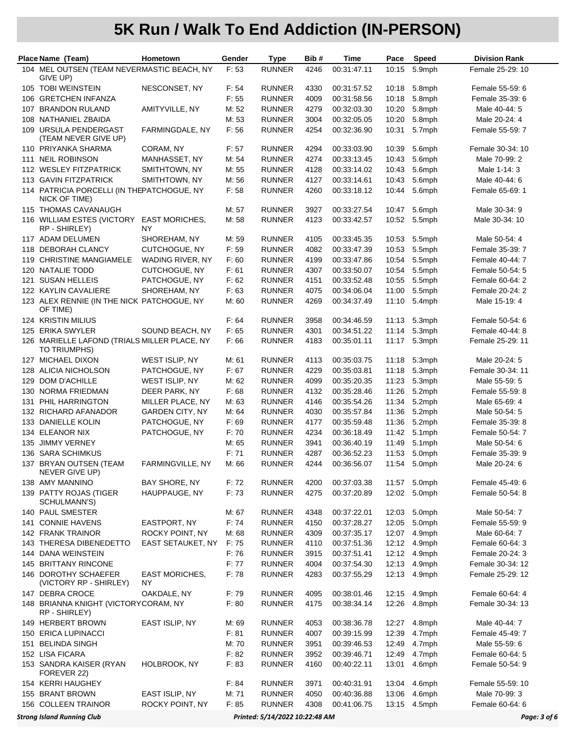|     | Place Name (Team)                                                                   | Hometown                    | Gender         | <b>Type</b>                    | Bib#         | Time                       | Pace           | Speed            | <b>Division Rank</b>             |  |
|-----|-------------------------------------------------------------------------------------|-----------------------------|----------------|--------------------------------|--------------|----------------------------|----------------|------------------|----------------------------------|--|
|     | 104 MEL OUTSEN (TEAM NEVERMASTIC BEACH, NY<br>GIVE UP)                              |                             | F: 53          | <b>RUNNER</b>                  | 4246         | 00:31:47.11                | 10:15          | 5.9mph           | Female 25-29: 10                 |  |
|     | 105 TOBI WEINSTEIN                                                                  | NESCONSET, NY               | F: 54          | <b>RUNNER</b>                  | 4330         | 00:31:57.52                | 10:18          | 5.8mph           | Female 55-59: 6                  |  |
|     | 106 GRETCHEN INFANZA                                                                |                             | F: 55          | <b>RUNNER</b>                  | 4009         | 00:31:58.56                | 10:18          | 5.8mph           | Female 35-39: 6                  |  |
| 107 | <b>BRANDON RULAND</b>                                                               | AMITYVILLE, NY              | M: 52          | <b>RUNNER</b>                  | 4279         | 00:32:03.30                | 10:20          | 5.8mph           | Male 40-44: 5                    |  |
|     | 108 NATHANIEL ZBAIDA                                                                |                             | M: 53          | <b>RUNNER</b>                  | 3004         | 00:32:05.05                | 10:20          | 5.8mph           | Male 20-24: 4                    |  |
|     | 109 URSULA PENDERGAST<br>(TEAM NEVER GIVE UP)                                       | FARMINGDALE, NY             | F: 56          | <b>RUNNER</b>                  | 4254         | 00:32:36.90                | 10:31          | 5.7mph           | Female 55-59: 7                  |  |
|     | 110 PRIYANKA SHARMA                                                                 | CORAM, NY                   | F: 57          | <b>RUNNER</b>                  | 4294         | 00:33:03.90                | 10:39          | 5.6mph           | Female 30-34: 10                 |  |
|     | 111 NEIL ROBINSON                                                                   | MANHASSET, NY               | M: 54          | <b>RUNNER</b>                  | 4274         | 00:33:13.45                | 10:43          | 5.6mph           | Male 70-99: 2                    |  |
|     | 112 WESLEY FITZPATRICK                                                              | SMITHTOWN, NY               | M: 55          | <b>RUNNER</b>                  | 4128         | 00:33:14.02                | 10:43          | 5.6mph           | Male 1-14: 3                     |  |
|     | 113 GAVIN FITZPATRICK                                                               | SMITHTOWN, NY               | M: 56          | <b>RUNNER</b>                  | 4127         | 00:33:14.61                | 10:43          | 5.6mph           | Male 40-44: 6                    |  |
|     | 114 PATRICIA PORCELLI (IN THEPATCHOGUE, NY<br>NICK OF TIME)                         |                             | F: 58          | <b>RUNNER</b>                  | 4260         | 00:33:18.12                | 10:44          | 5.6mph           | Female 65-69: 1                  |  |
|     | 115 THOMAS CAVANAUGH                                                                |                             | M: 57          | <b>RUNNER</b>                  | 3927         | 00:33:27.54                | 10:47          | 5.6mph           | Male 30-34: 9                    |  |
|     | 116 WILLIAM ESTES (VICTORY<br>RP - SHIRLEY)                                         | <b>EAST MORICHES,</b><br>NY | M: 58          | <b>RUNNER</b>                  | 4123         | 00:33:42.57                | 10:52          | 5.5mph           | Male 30-34: 10                   |  |
|     | 117 ADAM DELUMEN                                                                    | SHOREHAM, NY                | M: 59          | <b>RUNNER</b>                  | 4105         | 00:33:45.35                | 10:53          | 5.5mph           | Male 50-54: 4                    |  |
|     | 118 DEBORAH CLANCY                                                                  | CUTCHOGUE, NY               | F: 59          | <b>RUNNER</b>                  | 4082         | 00:33:47.39                | 10:53          | 5.5mph           | Female 35-39: 7                  |  |
|     | 119 CHRISTINE MANGIAMELE                                                            | WADING RIVER, NY            | F: 60          | <b>RUNNER</b>                  | 4199         | 00:33:47.86                | 10:54          | 5.5mph           | Female 40-44: 7                  |  |
|     | 120 NATALIE TODD                                                                    | CUTCHOGUE, NY               | F: 61          | <b>RUNNER</b>                  | 4307         | 00:33:50.07                | 10:54          | 5.5mph           | Female 50-54: 5                  |  |
| 121 | <b>SUSAN HELLEIS</b>                                                                | PATCHOGUE, NY               | F: 62          | <b>RUNNER</b>                  | 4151         | 00:33:52.48                | 10:55          | 5.5mph           | Female 60-64: 2                  |  |
|     | 122 KAYLIN CAVALIERE                                                                | SHOREHAM, NY                | F: 63          | <b>RUNNER</b>                  | 4075         | 00:34:06.04                | 11:00          | 5.5mph           | Female 20-24: 2                  |  |
|     | 123 ALEX RENNIE (IN THE NICK PATCHOGUE, NY<br>OF TIME)                              |                             | M: 60          | <b>RUNNER</b>                  | 4269         | 00:34:37.49                | 11:10          | 5.4mph           | Male 15-19: 4                    |  |
|     | <b>124 KRISTIN MILIUS</b>                                                           |                             | F: 64          | <b>RUNNER</b>                  | 3958         | 00:34:46.59                | 11:13          | 5.3mph           | Female 50-54: 6                  |  |
|     | 125 ERIKA SWYLER                                                                    | SOUND BEACH, NY             | F: 65          | <b>RUNNER</b>                  | 4301         | 00:34:51.22                | 11:14          | 5.3mph           | Female 40-44: 8                  |  |
|     | 126 MARIELLE LAFOND (TRIALS MILLER PLACE, NY<br>TO TRIUMPHS)                        |                             | F: 66          | <b>RUNNER</b>                  | 4183         | 00:35:01.11                | 11:17          | 5.3mph           | Female 25-29: 11                 |  |
|     | 127 MICHAEL DIXON                                                                   | WEST ISLIP, NY              | M: 61          | <b>RUNNER</b>                  | 4113         | 00:35:03.75                | 11:18          | 5.3mph           | Male 20-24: 5                    |  |
|     | 128 ALICIA NICHOLSON                                                                | PATCHOGUE, NY               | F: 67          | <b>RUNNER</b>                  | 4229         | 00:35:03.81                | 11:18          | 5.3mph           | Female 30-34: 11                 |  |
|     | 129 DOM D'ACHILLE                                                                   | WEST ISLIP, NY              | M: 62          | <b>RUNNER</b>                  | 4099         | 00:35:20.35                | 11:23          | 5.3mph           | Male 55-59: 5                    |  |
|     | 130 NORMA FRIEDMAN                                                                  | DEER PARK, NY               | F: 68          | <b>RUNNER</b>                  | 4132         | 00:35:28.46                | 11:26          | 5.2mph           | Female 55-59: 8                  |  |
| 131 | PHIL HARRINGTON                                                                     | MILLER PLACE, NY            | M: 63          | <b>RUNNER</b>                  | 4146         | 00:35:54.26                | 11:34          | 5.2mph           | Male 65-69: 4                    |  |
|     | 132 RICHARD AFANADOR                                                                | <b>GARDEN CITY, NY</b>      | M: 64          | <b>RUNNER</b>                  | 4030         | 00:35:57.84                | 11:36          | 5.2mph           | Male 50-54: 5                    |  |
|     | 133 DANIELLE KOLIN                                                                  | PATCHOGUE, NY               | F: 69          | <b>RUNNER</b>                  | 4177<br>4234 | 00:35:59.48                | 11:36          | 5.2mph           | Female 35-39: 8                  |  |
| 135 | 134 ELEANOR NIX<br><b>JIMMY VERNEY</b>                                              | PATCHOGUE, NY               | F: 70<br>M: 65 | <b>RUNNER</b><br><b>RUNNER</b> | 3941         | 00:36:18.49<br>00:36:40.19 | 11:42<br>11:49 | 5.1mph<br>5.1mph | Female 50-54: 7<br>Male 50-54: 6 |  |
| 136 | <b>SARA SCHIMKUS</b>                                                                |                             | F: 71          | <b>RUNNER</b>                  | 4287         | 00:36:52.23                | 11:53          | 5.0mph           | Female 35-39: 9                  |  |
|     | 137 BRYAN OUTSEN (TEAM                                                              | FARMINGVILLE, NY            | M: 66          | <b>RUNNER</b>                  | 4244         | 00:36:56.07                | 11:54          | 5.0mph           | Male 20-24: 6                    |  |
|     | NEVER GIVE UP)                                                                      |                             |                |                                |              |                            |                |                  |                                  |  |
|     | 138 AMY MANNINO                                                                     | BAY SHORE, NY               | F: 72          | <b>RUNNER</b>                  | 4200         | 00:37:03.38                |                | 11:57 5.0mph     | Female 45-49: 6                  |  |
|     | 139 PATTY ROJAS (TIGER<br>SCHULMANN'S)                                              | HAUPPAUGE, NY               | F: 73          | <b>RUNNER</b>                  | 4275         | 00:37:20.89                | 12:02          | 5.0mph           | Female 50-54: 8                  |  |
|     | 140 PAUL SMESTER<br>141 CONNIE HAVENS                                               | EASTPORT, NY                | M: 67<br>F: 74 | <b>RUNNER</b><br><b>RUNNER</b> | 4348         | 00:37:22.01<br>00:37:28.27 | 12:03<br>12:05 | 5.0mph<br>5.0mph | Male 50-54: 7<br>Female 55-59: 9 |  |
|     | 142 FRANK TRAINOR                                                                   | ROCKY POINT, NY             | M: 68          | <b>RUNNER</b>                  | 4150<br>4309 | 00:37:35.17                | 12:07          | 4.9mph           | Male 60-64: 7                    |  |
|     | 143 THERESA DIBENEDETTO                                                             | EAST SETAUKET, NY           | F: 75          | <b>RUNNER</b>                  | 4110         | 00:37:51.36                | 12:12          | 4.9mph           | Female 60-64: 3                  |  |
|     | 144 DANA WEINSTEIN                                                                  |                             | F: 76          | <b>RUNNER</b>                  | 3915         | 00:37:51.41                | 12:12          | 4.9mph           | Female 20-24: 3                  |  |
|     | 145 BRITTANY RINCONE                                                                |                             | F: 77          | <b>RUNNER</b>                  | 4004         | 00:37:54.30                | 12:13          | 4.9mph           | Female 30-34: 12                 |  |
|     | 146 DOROTHY SCHAEFER<br>(VICTORY RP - SHIRLEY)                                      | <b>EAST MORICHES,</b><br>ΝY | F: 78          | <b>RUNNER</b>                  | 4283         | 00:37:55.29                | 12:13          | 4.9mph           | Female 25-29: 12                 |  |
|     | 147 DEBRA CROCE                                                                     | OAKDALE, NY                 | F: 79          | <b>RUNNER</b>                  | 4095         | 00:38:01.46                | 12:15          | 4.9mph           | Female 60-64: 4                  |  |
|     | 148 BRIANNA KNIGHT (VICTORYCORAM, NY<br>RP - SHIRLEY)                               |                             | F: 80          | <b>RUNNER</b>                  | 4175         | 00:38:34.14                | 12:26          | 4.8mph           | Female 30-34: 13                 |  |
|     | 149 HERBERT BROWN                                                                   | EAST ISLIP, NY              | M: 69          | <b>RUNNER</b>                  | 4053         | 00:38:36.78                | 12:27          | 4.8mph           | Male 40-44: 7                    |  |
|     | 150 ERICA LUPINACCI                                                                 |                             | F: 81          | <b>RUNNER</b>                  | 4007         | 00:39:15.99                | 12:39          | 4.7mph           | Female 45-49: 7                  |  |
| 151 | <b>BELINDA SINGH</b>                                                                |                             | M: 70          | <b>RUNNER</b>                  | 3951         | 00:39:46.53                | 12:49          | 4.7mph           | Male 55-59: 6                    |  |
|     | 152 LISA FICARA                                                                     |                             | F: 82          | <b>RUNNER</b>                  | 3952         | 00:39:46.71                | 12:49          | 4.7mph           | Female 60-64: 5                  |  |
|     | 153 SANDRA KAISER (RYAN<br>FOREVER 22)                                              | HOLBROOK, NY                | F: 83          | <b>RUNNER</b>                  | 4160         | 00:40:22.11                | 13:01          | 4.6mph           | Female 50-54: 9                  |  |
|     | 154 KERRI HAUGHEY                                                                   |                             | F: 84          | <b>RUNNER</b>                  | 3971         | 00:40:31.91                | 13:04          | 4.6mph           | Female 55-59: 10                 |  |
|     | 155 BRANT BROWN                                                                     | EAST ISLIP, NY              | M: 71          | <b>RUNNER</b>                  | 4050         | 00:40:36.88                | 13:06          | 4.6mph           | Male 70-99: 3                    |  |
|     | 156 COLLEEN TRAINOR                                                                 | ROCKY POINT, NY             | F: 85          | <b>RUNNER</b>                  | 4308         | 00:41:06.75                | 13:15          | 4.5mph           | Female 60-64: 6                  |  |
|     | <b>Strong Island Running Club</b><br>Printed: 5/14/2022 10:22:48 AM<br>Page: 3 of 6 |                             |                |                                |              |                            |                |                  |                                  |  |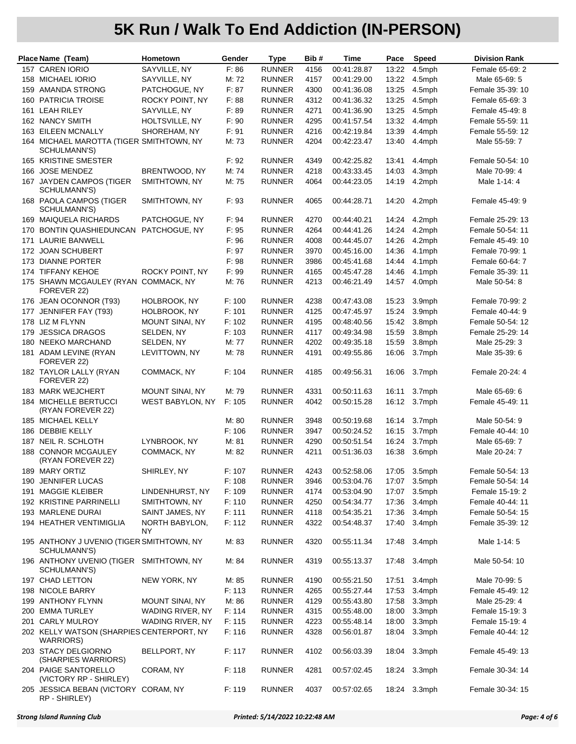| Place Name (Team)                                              | Hometown               | Gender | <b>Type</b>   | Bib# | Time                                 | Pace  | Speed  | <b>Division Rank</b> |
|----------------------------------------------------------------|------------------------|--------|---------------|------|--------------------------------------|-------|--------|----------------------|
| 157 CAREN IORIO                                                | SAYVILLE, NY           | F: 86  | <b>RUNNER</b> | 4156 | 00:41:28.87                          | 13:22 | 4.5mph | Female 65-69: 2      |
| 158 MICHAEL IORIO                                              | SAYVILLE, NY           | M: 72  | <b>RUNNER</b> | 4157 | 00:41:29.00                          | 13:22 | 4.5mph | Male 65-69: 5        |
| 159 AMANDA STRONG                                              | PATCHOGUE, NY          | F: 87  | <b>RUNNER</b> | 4300 | 00:41:36.08                          | 13:25 | 4.5mph | Female 35-39: 10     |
| 160 PATRICIA TROISE                                            | ROCKY POINT, NY        | F: 88  | <b>RUNNER</b> | 4312 | 00:41:36.32                          | 13:25 | 4.5mph | Female 65-69: 3      |
| 161 LEAH RILEY                                                 | SAYVILLE, NY           | F: 89  | <b>RUNNER</b> | 4271 | 00:41:36.90                          | 13:25 | 4.5mph | Female 45-49: 8      |
| 162 NANCY SMITH                                                | HOLTSVILLE, NY         | F: 90  | <b>RUNNER</b> | 4295 | 00:41:57.54                          | 13:32 | 4.4mph | Female 55-59: 11     |
| 163 EILEEN MCNALLY                                             | SHOREHAM, NY           | F: 91  | <b>RUNNER</b> | 4216 | 00:42:19.84                          | 13:39 | 4.4mph | Female 55-59: 12     |
| 164 MICHAEL MAROTTA (TIGER SMITHTOWN, NY<br>SCHULMANN'S)       |                        | M: 73  | <b>RUNNER</b> | 4204 | 00:42:23.47                          | 13:40 | 4.4mph | Male 55-59: 7        |
| 165 KRISTINE SMESTER                                           |                        | F: 92  | <b>RUNNER</b> | 4349 | 00:42:25.82                          | 13:41 | 4.4mph | Female 50-54: 10     |
| 166 JOSE MENDEZ                                                | BRENTWOOD, NY          | M: 74  | <b>RUNNER</b> | 4218 | 00:43:33.45                          | 14:03 | 4.3mph | Male 70-99: 4        |
| 167 JAYDEN CAMPOS (TIGER<br>SCHULMANN'S)                       | SMITHTOWN, NY          | M: 75  | <b>RUNNER</b> | 4064 | 00:44:23.05                          | 14:19 | 4.2mph | Male 1-14: 4         |
| 168 PAOLA CAMPOS (TIGER<br>SCHULMANN'S)                        | SMITHTOWN, NY          | F: 93  | <b>RUNNER</b> | 4065 | 00:44:28.71                          | 14:20 | 4.2mph | Female 45-49: 9      |
| 169 MAIQUELA RICHARDS                                          | PATCHOGUE, NY          | F: 94  | <b>RUNNER</b> | 4270 | 00:44:40.21                          | 14:24 | 4.2mph | Female 25-29: 13     |
| 170 BONTIN QUASHIEDUNCAN PATCHOGUE, NY                         |                        | F: 95  | <b>RUNNER</b> | 4264 | 00:44:41.26                          | 14:24 | 4.2mph | Female 50-54: 11     |
| 171 LAURIE BANWELL                                             |                        | F: 96  | <b>RUNNER</b> | 4008 | 00:44:45.07                          | 14:26 | 4.2mph | Female 45-49: 10     |
| 172 JOAN SCHUBERT                                              |                        | F: 97  | <b>RUNNER</b> | 3970 | 00:45:16.00                          | 14:36 | 4.1mph | Female 70-99: 1      |
| 173 DIANNE PORTER                                              |                        | F: 98  | <b>RUNNER</b> | 3986 | 00:45:41.68                          | 14:44 | 4.1mph | Female 60-64: 7      |
| 174 TIFFANY KEHOE                                              | ROCKY POINT, NY        | F: 99  | <b>RUNNER</b> | 4165 | 00:45:47.28                          | 14:46 | 4.1mph | Female 35-39: 11     |
| 175 SHAWN MCGAULEY (RYAN COMMACK, NY<br>FOREVER 22)            |                        | M: 76  | <b>RUNNER</b> | 4213 | 00:46:21.49                          | 14:57 | 4.0mph | Male 50-54: 8        |
| 176 JEAN OCONNOR (T93)                                         | HOLBROOK, NY           | F: 100 | <b>RUNNER</b> | 4238 | 00:47:43.08                          | 15:23 | 3.9mph | Female 70-99: 2      |
| 177 JENNIFER FAY (T93)                                         | HOLBROOK, NY           | F: 101 | <b>RUNNER</b> | 4125 | 00:47:45.97                          | 15:24 | 3.9mph | Female 40-44: 9      |
| 178 LIZ M FLYNN                                                | MOUNT SINAI, NY        | F: 102 | <b>RUNNER</b> | 4195 | 00:48:40.56                          | 15:42 | 3.8mph | Female 50-54: 12     |
| 179 JESSICA DRAGOS                                             | SELDEN, NY             | F: 103 | <b>RUNNER</b> | 4117 | 00:49:34.98                          | 15:59 | 3.8mph | Female 25-29: 14     |
| 180 NEEKO MARCHAND                                             | SELDEN, NY             | M: 77  | <b>RUNNER</b> | 4202 | 00:49:35.18                          | 15:59 | 3.8mph | Male 25-29: 3        |
| 181 ADAM LEVINE (RYAN<br>FOREVER 22)                           | LEVITTOWN, NY          | M: 78  | <b>RUNNER</b> | 4191 | 00:49:55.86                          | 16:06 | 3.7mph | Male 35-39: 6        |
| 182 TAYLOR LALLY (RYAN<br>FOREVER 22)                          | COMMACK, NY            | F: 104 | <b>RUNNER</b> | 4185 | 00:49:56.31                          | 16:06 | 3.7mph | Female 20-24: 4      |
| 183 MARK WEJCHERT                                              | <b>MOUNT SINAI, NY</b> | M: 79  | <b>RUNNER</b> | 4331 | 00:50:11.63                          | 16:11 | 3.7mph | Male 65-69: 6        |
| <b>184 MICHELLE BERTUCCI</b><br>(RYAN FOREVER 22)              | WEST BABYLON, NY       | F: 105 | <b>RUNNER</b> | 4042 | 00:50:15.28                          | 16:12 | 3.7mph | Female 45-49: 11     |
| 185 MICHAEL KELLY                                              |                        | M: 80  | <b>RUNNER</b> | 3948 | 00:50:19.68                          | 16:14 | 3.7mph | Male 50-54: 9        |
| 186 DEBBIE KELLY                                               |                        | F: 106 | <b>RUNNER</b> | 3947 | 00:50:24.52                          | 16:15 | 3.7mph | Female 40-44: 10     |
| 187 NEIL R. SCHLOTH                                            | LYNBROOK, NY           | M: 81  | <b>RUNNER</b> | 4290 | 00:50:51.54                          | 16:24 | 3.7mph | Male 65-69: 7        |
| 188 CONNOR MCGAULEY<br>(RYAN FOREVER 22)                       | COMMACK, NY            | M: 82  | <b>RUNNER</b> | 4211 | 00:51:36.03                          | 16:38 | 3.6mph | Male 20-24: 7        |
| 189 MARY ORTIZ                                                 | SHIRLEY, NY            | F: 107 |               |      | RUNNER 4243 00:52:58.06 17:05 3.5mph |       |        | Female 50-54: 13     |
| 190 JENNIFER LUCAS                                             |                        | F: 108 | <b>RUNNER</b> | 3946 | 00:53:04.76                          | 17:07 | 3.5mph | Female 50-54: 14     |
| 191 MAGGIE KLEIBER                                             | LINDENHURST, NY        | F: 109 | <b>RUNNER</b> | 4174 | 00:53:04.90                          | 17:07 | 3.5mph | Female 15-19: 2      |
| 192 KRISTINE PARRINELLI                                        | SMITHTOWN, NY          | F: 110 | <b>RUNNER</b> | 4250 | 00:54:34.77                          | 17:36 | 3.4mph | Female 40-44: 11     |
| 193 MARLENE DURAI                                              | SAINT JAMES, NY        | F: 111 | <b>RUNNER</b> | 4118 | 00:54:35.21                          | 17:36 | 3.4mph | Female 50-54: 15     |
| 194 HEATHER VENTIMIGLIA                                        | NORTH BABYLON,<br>NY   | F: 112 | <b>RUNNER</b> | 4322 | 00:54:48.37                          | 17:40 | 3.4mph | Female 35-39: 12     |
| 195 ANTHONY J UVENIO (TIGER SMITHTOWN, NY<br>SCHULMANN'S)      |                        | M: 83  | <b>RUNNER</b> | 4320 | 00:55:11.34                          | 17:48 | 3.4mph | Male 1-14: 5         |
| 196 ANTHONY UVENIO (TIGER SMITHTOWN, NY<br>SCHULMANN'S)        |                        | M: 84  | <b>RUNNER</b> | 4319 | 00:55:13.37                          | 17:48 | 3.4mph | Male 50-54: 10       |
| 197 CHAD LETTON                                                | NEW YORK, NY           | M: 85  | <b>RUNNER</b> | 4190 | 00:55:21.50                          | 17:51 | 3.4mph | Male 70-99: 5        |
| 198 NICOLE BARRY                                               |                        | F: 113 | <b>RUNNER</b> | 4265 | 00:55:27.44                          | 17:53 | 3.4mph | Female 45-49: 12     |
| 199 ANTHONY FLYNN                                              | <b>MOUNT SINAI, NY</b> | M: 86  | <b>RUNNER</b> | 4129 | 00:55:43.80                          | 17:58 | 3.3mph | Male 25-29: 4        |
| 200 EMMA TURLEY                                                | WADING RIVER, NY       | F: 114 | <b>RUNNER</b> | 4315 | 00:55:48.00                          | 18:00 | 3.3mph | Female 15-19: 3      |
| 201 CARLY MULROY                                               | WADING RIVER, NY       | F: 115 | <b>RUNNER</b> | 4223 | 00:55:48.14                          | 18:00 | 3.3mph | Female 15-19: 4      |
| 202 KELLY WATSON (SHARPIES CENTERPORT, NY<br><b>WARRIORS</b> ) |                        | F: 116 | <b>RUNNER</b> | 4328 | 00:56:01.87                          | 18:04 | 3.3mph | Female 40-44: 12     |
| 203 STACY DELGIORNO<br>(SHARPIES WARRIORS)                     | BELLPORT, NY           | F: 117 | <b>RUNNER</b> | 4102 | 00:56:03.39                          | 18:04 | 3.3mph | Female 45-49: 13     |
| 204 PAIGE SANTORELLO<br>(VICTORY RP - SHIRLEY)                 | CORAM, NY              | F: 118 | <b>RUNNER</b> | 4281 | 00:57:02.45                          | 18:24 | 3.3mph | Female 30-34: 14     |
| 205 JESSICA BEBAN (VICTORY CORAM, NY<br>RP - SHIRLEY)          |                        | F: 119 | <b>RUNNER</b> | 4037 | 00:57:02.65                          | 18:24 | 3.3mph | Female 30-34: 15     |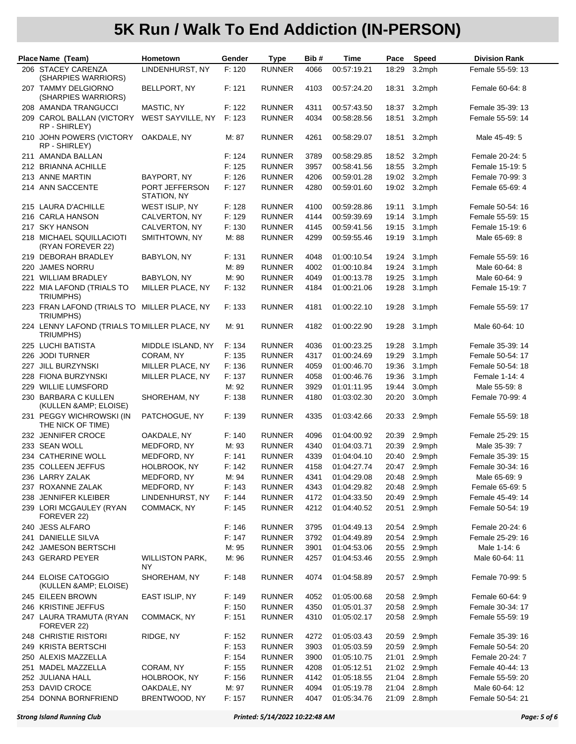|     | Place Name (Team)                                         | <b>Hometown</b>               | Gender | <b>Type</b>   | Bib# | Time        | Pace  | Speed     | <b>Division Rank</b> |
|-----|-----------------------------------------------------------|-------------------------------|--------|---------------|------|-------------|-------|-----------|----------------------|
|     | 206 STACEY CARENZA                                        | LINDENHURST, NY               | F: 120 | <b>RUNNER</b> | 4066 | 00:57:19.21 | 18:29 | 3.2mph    | Female 55-59: 13     |
|     | (SHARPIES WARRIORS)                                       |                               |        |               |      |             |       |           |                      |
|     | 207 TAMMY DELGIORNO<br>(SHARPIES WARRIORS)                | BELLPORT, NY                  | F: 121 | <b>RUNNER</b> | 4103 | 00:57:24.20 | 18:31 | 3.2mph    | Female 60-64: 8      |
|     | 208 AMANDA TRANGUCCI                                      | MASTIC, NY                    | F: 122 | <b>RUNNER</b> | 4311 | 00:57:43.50 | 18:37 | 3.2mph    | Female 35-39: 13     |
|     | 209 CAROL BALLAN (VICTORY<br>RP - SHIRLEY)                | WEST SAYVILLE, NY             | F: 123 | <b>RUNNER</b> | 4034 | 00:58:28.56 | 18:51 | 3.2mph    | Female 55-59: 14     |
|     | 210 JOHN POWERS (VICTORY<br>RP - SHIRLEY)                 | OAKDALE, NY                   | M: 87  | <b>RUNNER</b> | 4261 | 00:58:29.07 | 18:51 | 3.2mph    | Male 45-49: 5        |
|     | 211 AMANDA BALLAN                                         |                               | F: 124 | <b>RUNNER</b> | 3789 | 00:58:29.85 | 18:52 | 3.2mph    | Female 20-24: 5      |
|     | 212 BRIANNA ACHILLE                                       |                               | F: 125 | <b>RUNNER</b> | 3957 | 00:58:41.56 | 18:55 | 3.2mph    | Female 15-19: 5      |
|     | 213 ANNE MARTIN                                           | BAYPORT, NY                   | F: 126 | <b>RUNNER</b> | 4206 | 00:59:01.28 | 19:02 | 3.2mph    | Female 70-99: 3      |
|     | 214 ANN SACCENTE                                          | PORT JEFFERSON<br>STATION, NY | F: 127 | <b>RUNNER</b> | 4280 | 00:59:01.60 | 19:02 | 3.2mph    | Female 65-69: 4      |
|     | 215 LAURA D'ACHILLE                                       | WEST ISLIP, NY                | F: 128 | <b>RUNNER</b> | 4100 | 00:59:28.86 | 19:11 | $3.1$ mph | Female 50-54: 16     |
|     | 216 CARLA HANSON                                          | CALVERTON, NY                 | F: 129 | <b>RUNNER</b> | 4144 | 00:59:39.69 | 19:14 | 3.1mph    | Female 55-59: 15     |
|     | 217 SKY HANSON                                            | CALVERTON, NY                 | F: 130 | <b>RUNNER</b> | 4145 | 00:59:41.56 | 19:15 | 3.1mph    | Female 15-19: 6      |
|     | 218 MICHAEL SQUILLACIOTI<br>(RYAN FOREVER 22)             | SMITHTOWN, NY                 | M: 88  | <b>RUNNER</b> | 4299 | 00:59:55.46 | 19:19 | $3.1$ mph | Male 65-69: 8        |
|     | 219 DEBORAH BRADLEY                                       | BABYLON, NY                   | F: 131 | <b>RUNNER</b> | 4048 | 01:00:10.54 | 19:24 | $3.1$ mph | Female 55-59: 16     |
| 220 | <b>JAMES NORRU</b>                                        |                               | M: 89  | <b>RUNNER</b> | 4002 | 01:00:10.84 | 19:24 | $3.1$ mph | Male 60-64: 8        |
|     | 221 WILLIAM BRADLEY                                       | BABYLON, NY                   | M: 90  | <b>RUNNER</b> | 4049 | 01:00:13.78 | 19:25 | 3.1mph    | Male 60-64: 9        |
|     | 222 MIA LAFOND (TRIALS TO<br>TRIUMPHS)                    | MILLER PLACE, NY              | F: 132 | <b>RUNNER</b> | 4184 | 01:00:21.06 | 19:28 | 3.1mph    | Female 15-19: 7      |
|     | 223 FRAN LAFOND (TRIALS TO MILLER PLACE, NY<br>TRIUMPHS)  |                               | F: 133 | <b>RUNNER</b> | 4181 | 01:00:22.10 | 19:28 | $3.1$ mph | Female 55-59: 17     |
|     | 224 LENNY LAFOND (TRIALS TO MILLER PLACE, NY<br>TRIUMPHS) |                               | M: 91  | <b>RUNNER</b> | 4182 | 01:00:22.90 | 19:28 | $3.1$ mph | Male 60-64: 10       |
|     | 225 LUCHI BATISTA                                         | MIDDLE ISLAND, NY             | F: 134 | <b>RUNNER</b> | 4036 | 01:00:23.25 | 19:28 | 3.1mph    | Female 35-39: 14     |
|     | 226 JODI TURNER                                           | CORAM, NY                     | F: 135 | <b>RUNNER</b> | 4317 | 01:00:24.69 | 19:29 | 3.1mph    | Female 50-54: 17     |
|     | 227 JILL BURZYNSKI                                        | MILLER PLACE, NY              | F: 136 | <b>RUNNER</b> | 4059 | 01:00:46.70 | 19:36 | 3.1mph    | Female 50-54: 18     |
|     | 228 FIONA BURZYNSKI                                       | MILLER PLACE, NY              | F: 137 | <b>RUNNER</b> | 4058 | 01:00:46.76 | 19:36 | 3.1mph    | Female 1-14: 4       |
|     | 229 WILLIE LUMSFORD                                       |                               | M: 92  | <b>RUNNER</b> | 3929 | 01:01:11.95 | 19:44 | 3.0mph    | Male 55-59: 8        |
|     | 230 BARBARA C KULLEN<br>(KULLEN & AMP; ELOISE)            | SHOREHAM, NY                  | F: 138 | <b>RUNNER</b> | 4180 | 01:03:02.30 | 20:20 | 3.0mph    | Female 70-99: 4      |
|     | 231 PEGGY WICHROWSKI (IN<br>THE NICK OF TIME)             | PATCHOGUE, NY                 | F: 139 | <b>RUNNER</b> | 4335 | 01:03:42.66 | 20:33 | 2.9mph    | Female 55-59: 18     |
|     | 232 JENNIFER CROCE                                        | OAKDALE, NY                   | F: 140 | <b>RUNNER</b> | 4096 | 01:04:00.92 | 20:39 | 2.9mph    | Female 25-29: 15     |
|     | 233 SEAN WOLL                                             | MEDFORD, NY                   | M: 93  | <b>RUNNER</b> | 4340 | 01:04:03.71 | 20:39 | 2.9mph    | Male 35-39: 7        |
|     | 234 CATHERINE WOLL                                        | MEDFORD, NY                   | F: 141 | <b>RUNNER</b> | 4339 | 01:04:04.10 | 20:40 | 2.9mph    | Female 35-39: 15     |
|     | 235 COLLEEN JEFFUS                                        | HOLBROOK, NY                  | F: 142 | <b>RUNNER</b> | 4158 | 01:04:27.74 | 20:47 | 2.9mph    | Female 30-34: 16     |
|     | 236 LARRY ZALAK                                           | MEDFORD, NY                   | M: 94  | <b>RUNNER</b> | 4341 | 01:04:29.08 | 20:48 | 2.9mph    | Male 65-69: 9        |
|     | 237 ROXANNE ZALAK                                         | MEDFORD, NY                   | F: 143 | <b>RUNNER</b> | 4343 | 01:04:29.82 | 20:48 | 2.9mph    | Female 65-69: 5      |
|     | 238 JENNIFER KLEIBER                                      | LINDENHURST, NY               | F: 144 | <b>RUNNER</b> | 4172 | 01:04:33.50 | 20:49 | 2.9mph    | Female 45-49: 14     |
|     | 239 LORI MCGAULEY (RYAN<br>FOREVER 22)                    | COMMACK, NY                   | F: 145 | <b>RUNNER</b> | 4212 | 01:04:40.52 | 20:51 | 2.9mph    | Female 50-54: 19     |
|     | 240 JESS ALFARO                                           |                               | F: 146 | <b>RUNNER</b> | 3795 | 01:04:49.13 | 20:54 | 2.9mph    | Female 20-24: 6      |
|     | 241 DANIELLE SILVA                                        |                               | F: 147 | <b>RUNNER</b> | 3792 | 01:04:49.89 | 20:54 | 2.9mph    | Female 25-29: 16     |
|     | 242 JAMESON BERTSCHI                                      |                               | M: 95  | <b>RUNNER</b> | 3901 | 01:04:53.06 | 20:55 | 2.9mph    | Male 1-14: 6         |
|     | 243 GERARD PEYER                                          | <b>WILLISTON PARK,</b><br>ΝY  | M: 96  | <b>RUNNER</b> | 4257 | 01:04:53.46 | 20:55 | 2.9mph    | Male 60-64: 11       |
|     | 244 ELOISE CATOGGIO<br>(KULLEN & AMP; ELOISE)             | SHOREHAM, NY                  | F: 148 | <b>RUNNER</b> | 4074 | 01:04:58.89 | 20:57 | 2.9mph    | Female 70-99: 5      |
|     | 245 EILEEN BROWN                                          | EAST ISLIP, NY                | F: 149 | <b>RUNNER</b> | 4052 | 01:05:00.68 | 20:58 | 2.9mph    | Female 60-64: 9      |
|     | 246 KRISTINE JEFFUS                                       |                               | F: 150 | <b>RUNNER</b> | 4350 | 01:05:01.37 | 20:58 | 2.9mph    | Female 30-34: 17     |
|     | 247 LAURA TRAMUTA (RYAN<br>FOREVER 22)                    | COMMACK, NY                   | F: 151 | <b>RUNNER</b> | 4310 | 01:05:02.17 | 20:58 | 2.9mph    | Female 55-59: 19     |
|     | 248 CHRISTIE RISTORI                                      | RIDGE, NY                     | F: 152 | <b>RUNNER</b> | 4272 | 01:05:03.43 | 20:59 | 2.9mph    | Female 35-39: 16     |
|     | 249 KRISTA BERTSCHI                                       |                               | F: 153 | <b>RUNNER</b> | 3903 | 01:05:03.59 | 20:59 | 2.9mph    | Female 50-54: 20     |
|     | 250 ALEXIS MAZZELLA                                       |                               | F: 154 | <b>RUNNER</b> | 3900 | 01:05:10.75 | 21:01 | 2.9mph    | Female 20-24: 7      |
|     | 251 MADEL MAZZELLA                                        | CORAM, NY                     | F: 155 | <b>RUNNER</b> | 4208 | 01:05:12.51 | 21:02 | 2.9mph    | Female 40-44: 13     |
|     | 252 JULIANA HALL                                          | HOLBROOK, NY                  | F: 156 | <b>RUNNER</b> | 4142 | 01:05:18.55 | 21:04 | 2.8mph    | Female 55-59: 20     |
|     | 253 DAVID CROCE                                           | OAKDALE, NY                   | M: 97  | <b>RUNNER</b> | 4094 | 01:05:19.78 | 21:04 | 2.8mph    | Male 60-64: 12       |
|     | 254 DONNA BORNFRIEND                                      | BRENTWOOD, NY                 | F: 157 | <b>RUNNER</b> | 4047 | 01:05:34.76 | 21:09 | 2.8mph    | Female 50-54: 21     |
|     |                                                           |                               |        |               |      |             |       |           |                      |